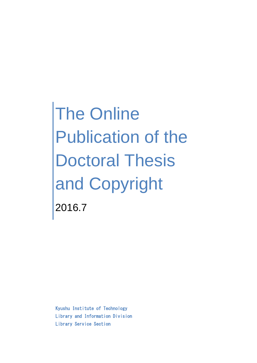The Online Publication of the Doctoral Thesis and Copyright 2016.7

Kyushu Institute of Technology Library and Information Division Library Service Section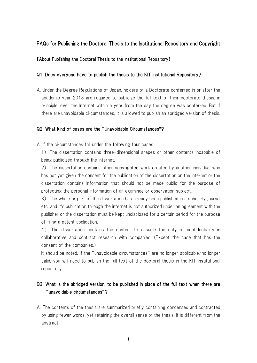# FAQs for Publishing the Doctoral Thesis to the Institutional Repository and Copyright

### 【About Publishing the Doctoral Thesis to the Institutional Repository】

### Q1. Does everyone have to publish the thesis to the KIT Institutional Repository?

A. Under the Degree Regulations of Japan, holders of a Doctorate conferred in or after the academic year 2013 are required to publicize the full text of their doctorate thesis, in principle, over the Internet within a year from the day the degree was conferred. But if there are unavoidable circumstances, it is allowed to publish an abridged version of thesis.

### Q2. What kind of cases are the "Unavoidable Circumstances"?

A. If the circumstances fall under the following four cases.

1) The dissertation contains three-dimensional shapes or other contents incapable of being publicized through the Internet.

2) The dissertation contains other copyrighted work created by another individual who has not yet given the consent for the publication of the dissertation on the internet or the dissertation contains information that should not be made public for the purpose of protecting the personal information of an examinee or observation subject.

3) The whole or part of the dissertation has already been published in a scholarly journal etc. and it's publication through the internet is not authorized under an agreement with the publisher or the dissertation must be kept undisclosed for a certain period for the purpose of filing a patent application.

4) The dissertation contains the content to assume the duty of confidentiality in collaborative and contract research with companies. (Except the case that has the consent of the companies.)

It should be noted, if the "unavoidable circumstances" are no longer applicable/no longer valid, you will need to publish the full text of the doctoral thesis in the KIT institutional repository.

# Q3. What is the abridged version, to be published in place of the full text when there are "unavoidable circumstances"?

A. The contents of the thesis are summarized briefly containing condensed and contracted by using fewer words, yet retaining the overall sense of the thesis. It is different from the abstract.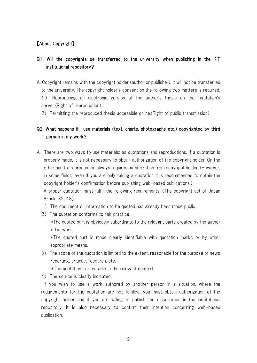## 【About Copyright】

# Q1. Will the copyrights be transferred to the university when publishing in the KIT institutional repository?

- A. Copyright remains with the copyright holder (author or publisher). It will not be transferred to the university. The copyright holder's consent on the following two matters is required. 1 ) Reproducing an electronic version of the author's thesis on the institution's server.(Right of reproduction)
	- 2) Permitting the reproduced thesis accessible online.(Right of public transmission)

# Q2. What happens if I use materials (text, charts, photographs etc.) copyrighted by third person in my work?

A. There are two ways to use materials: as quotations and reproductions. If a quotation is properly made, it is not necessary to obtain authorization of the copyright holder. On the other hand, a reproduction always requires authorization from copyright holder. (However, in some fields, even if you are only taking a quotation it is recommended to obtain the copyright holder's confirmation before publishing web-based publications.)

A proper quotation must fulfill the following requirements (The copyright act of Japan Article 32, 48)

- 1) The document or information to be quoted has already been made public.
- 2) The quotation conforms to fair practice.

\*The quoted part is obviously subordinate to the relevant parts created by the author in his work.

\*The quoted part is made clearly identifiable with quotation marks or by other appropriate means.

3) The scope of the quotation is limited to the extent, reasonable for the purpose of news reporting, critique, research, etc.

\*The quotation is inevitable in the relevant context.

4) The source is clearly indicated.

If you wish to use a work authored by another person in a situation, where the requirements for the quotation are not fulfilled, you must obtain authorization of the copyright holder and if you are willing to publish the dissertation in the institutional repository, it is also necessary to confirm their intention concerning web-based publication.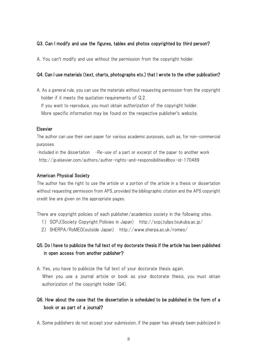## Q3. Can I modify and use the figures, tables and photos copyrighted by third person?

A. You can't modify and use without the permission from the copyright holder.

### Q4. Can I use materials (text, charts, photographs etc.) that I wrote to the other publication?

A. As a general rule, you can use the materials without requesting permission from the copyright holder if it meets the quotation requirements of Q.2.

If you want to reproduce, you must obtain authorization of the copyright holder.

More specific information may be found on the respective publisher's website.

### Elsevier

The author can use their own paper for various academic purposes, such as, for non-commercial purposes.

 $\cdot$ Included in the dissertation  $\cdot$ Re-use of a part or excerpt of the paper to another work http://jp.elsevier.com/authors/author-rights-and-responsibilities#box-id-170489

### American Physical Society

The author has the right to use the article or a portion of the article in a thesis or dissertation without requesting permission from APS, provided the bibliographic citation and the APS copyright credit line are given on the appropriate pages.

There are copyright policies of each publisher/academics society in the following sites.

- 1) SCPJ(Society Copyright Policies in Japan) http://scpj.tulips.tsukuba.ac.jp/
- 2) SHERPA/RoMEO(outside Japan) http://www.sherpa.ac.uk/romeo/

# Q5. Do I have to publicize the full text of my doctorate thesis if the article has been published in open access from another publisher?

A. Yes, you have to publicize the full text of your doctorate thesis again. When you use a journal article or book as your doctorate thesis, you must obtain authorization of the copyright holder (Q4).

# Q6. How about the case that the dissertation is scheduled to be published in the form of a book or as part of a journal?

A. Some publishers do not accept your submission, if the paper has already been publicized in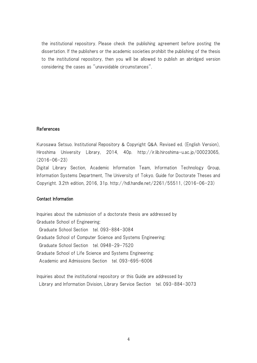the institutional repository. Please check the publishing agreement before posting the dissertation. If the publishers or the academic societies prohibit the publishing of the thesis to the institutional repository, then you will be allowed to publish an abridged version considering the cases as "unavoidable circumstances".

### References

Kurosawa Setsuo. Institutional Repository & Copyright Q&A. Revised ed. (English Version), Hiroshima University Library, 2014, 40p. http://ir.lib.hiroshima-u.ac.jp/00023065, (2016-06-23)

Digital Library Section, Academic Information Team, Information Technology Group, Information Systems Department, The University of Tokyo. Guide for Doctorate Theses and Copyright. 3.2th edition, 2016, 31p. http://hdl.handle.net/2261/55511, (2016-06-23)

### Contact Information

Inquiries about the submission of a doctorate thesis are addressed by Graduate School of Engineering: Graduate School Section tel. 093-884-3084 Graduate School of Computer Science and Systems Engineering: Graduate School Section tel. 0948-29-7520 Graduate School of Life Science and Systems Engineering: Academic and Admissions Section tel. 093-695-6006

Inquiries about the institutional repository or this Guide are addressed by Library and Information Division, Library Service Section tel. 093-884-3073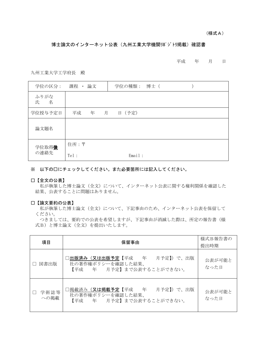(様式A)

#### 博士論文のインターネット公表(九州工業大学機関リポジトリ掲載)確認書

#### 平成 年 月 日

九州工業大学工学府長 殿

| 学位の区分:         | 課程 ・ 論文 |   |   | 学位の種類: 博士 ( |  |  |
|----------------|---------|---|---|-------------|--|--|
| ふりがな<br>名<br>氏 |         |   |   |             |  |  |
| 学位授与予定日        | 平成      | 年 | 月 | 日 (予定)      |  |  |
| 論文題名           |         |   |   |             |  |  |
| 学位取得後          | 住所:〒    |   |   |             |  |  |
| の連絡先           | Tel:    |   |   | Email:      |  |  |

※ 以下の□にチェックしてください。また必要箇所には記入してください。

□【全文の公表】

私が執筆した博士論文(全文)について、インターネット公表に関する権利関係を確認した 結果、公表することに問題はありません。

#### □【論文要約の公表】

私が執筆した博士論文(全文)について、下記事由のため、インターネット公表を保留して ください。

つきましては、要約での公表を希望しますが、下記事由が消滅した際は、所定の報告書(様 式B)と博士論文(全文)を提出いたします。

| 項目           | 保留事由                                                                         | 様式B報告書の<br>提出時期 |
|--------------|------------------------------------------------------------------------------|-----------------|
| 図書出版         | コ出版済み(又は出版予定【平成 年 月予定】)で、出版<br>社の著作権ポリシーを確認した結果、<br>【平成 年 月予定】まで公表することができない。 | 公表が可能と<br>なった日  |
| 学術誌等<br>への掲載 | □掲載済み(又は掲載予定【平成 年 月予定】)で、出版<br>社の著作権ポリシーを確認した結果、<br>【平成 年 月予定】まで公表することができない。 | 公表が可能と<br>なった日  |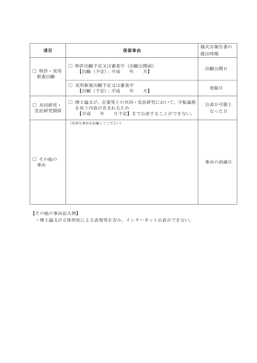| 項目                 | 保留事由                                                                      | 様式B報告書の<br>提出時期 |
|--------------------|---------------------------------------------------------------------------|-----------------|
| □ 特許・実用<br>新案出願    | □ 特許出願予定又は審査中 (出願公開前)<br>【出願(予定):平成 年 月】                                  | 出願公開日           |
|                    | □ 実用新案出願予定又は審査中<br>【出願(予定):平成 年 月】                                        | 登録日             |
| □ 共同研究 •<br>受託研究関係 | □ 博士論文が、企業等との共同・受託研究において、守秘義務<br>を負う内容が含まれるため<br>【平成 年 月予定】まで公表することができない。 | 公表が可能と<br>なった日  |
| □ その他の<br>事由       | (具体な事由を記載してください)                                                          | 事由の消滅日          |

【その他の事由記入例】

・博士論文が立体形状による表現等を含み、インターネット公表ができない。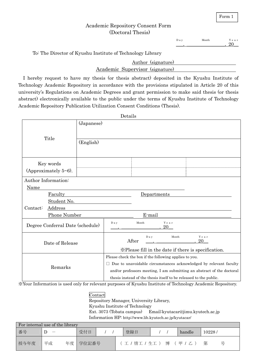Form 1

## Academic Repository Consent Form (Doctoral Thesis)

 $\overline{\phantom{a}}$ Day ,  $\overline{\phantom{a}}$ Month , 20 \_\_ Y e a r

To: The Director of Kyushu Institute of Technology Library

|                                 | Author (signature) |
|---------------------------------|--------------------|
| Academic Supervisor (signature) |                    |

 I hereby request to have my thesis (or thesis abstract) deposited in the Kyushu Institute of Technology Academic Repository in accordance with the provisions stipulated in Article 20 of this university's Regulations on Academic Degrees and grant permission to make said thesis (or thesis abstract) electronically available to the public under the terms of Kyushu Institute of Technology Academic Repository Publication Utilization Consent Conditions (Thesis).

|                                                     |                                  |                                                                          | Details        |        |             |                                                                                                                                                                        |  |
|-----------------------------------------------------|----------------------------------|--------------------------------------------------------------------------|----------------|--------|-------------|------------------------------------------------------------------------------------------------------------------------------------------------------------------------|--|
| Title                                               |                                  | (Japanese)                                                               |                |        |             |                                                                                                                                                                        |  |
|                                                     |                                  | (English)                                                                |                |        |             |                                                                                                                                                                        |  |
|                                                     | Key words                        |                                                                          |                |        |             |                                                                                                                                                                        |  |
|                                                     | (Approximately $5~6$ ).          |                                                                          |                |        |             |                                                                                                                                                                        |  |
| Author Information:<br>Name                         |                                  |                                                                          |                |        |             |                                                                                                                                                                        |  |
|                                                     | Faculty                          |                                                                          |                |        | Departments |                                                                                                                                                                        |  |
|                                                     | Student No.                      |                                                                          |                |        |             |                                                                                                                                                                        |  |
| Contact:                                            | Address                          |                                                                          |                |        |             |                                                                                                                                                                        |  |
|                                                     | <b>Phone Number</b>              |                                                                          |                | E-mail |             |                                                                                                                                                                        |  |
|                                                     | Degree Conferral Date (schedule) |                                                                          | D a y          | Month  | Year<br>20  |                                                                                                                                                                        |  |
| Date of Release                                     |                                  |                                                                          | D a y<br>After | Month  | Year<br>20  |                                                                                                                                                                        |  |
| *Please fill in the date if there is specification. |                                  |                                                                          |                |        |             |                                                                                                                                                                        |  |
| Remarks                                             |                                  | Please check the box if the following applies to you.                    |                |        |             |                                                                                                                                                                        |  |
|                                                     |                                  | $\Box$ Due to unavoidable circumstances acknowledged by relevant faculty |                |        |             |                                                                                                                                                                        |  |
|                                                     |                                  | and/or professors meeting, I am submitting an abstract of the doctoral   |                |        |             |                                                                                                                                                                        |  |
|                                                     |                                  |                                                                          |                |        |             | thesis instead of the thesis itself to be released to the public.<br>u ation is used only for uslavent numeroes of Venedy. Leatitute of Technology, Assolutio Democity |  |

※Your Information is used only for relevant purposes of Kyushu Institute of Technology Academic Repository.

## Contact

Repository Manager, University Library,

Kyushu Institute of Technology

Ext. 3073 (Tobata campus) Email:kyutacar@jimu.kyutech.ac.jp Information HP: http://www.lib.kyutech.ac.jp/kyutacar/

| For internal use of the library |                                 |  |          |  |  |               |  |  |         |        |  |
|---------------------------------|---------------------------------|--|----------|--|--|---------------|--|--|---------|--------|--|
| 番号                              | $\hspace{0.1mm}-\hspace{0.1mm}$ |  | 受付日      |  |  | 登録日           |  |  | handle  | 10228/ |  |
| 授与年度                            | 平成                              |  | 年度 学位記番号 |  |  | 工 / 情工 / 生工 ) |  |  | 博 (甲/乙) | 第      |  |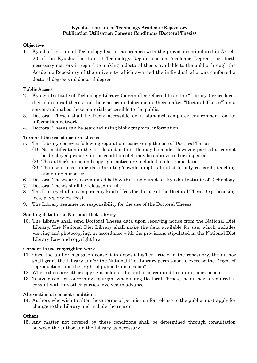### Kyushu Institute of Technology Academic Repository Publication Utilization Consent Conditions (Doctoral Thesis)

## **Objective**

1. Kyushu Institute of Technology has, in accordance with the provisions stipulated in Article 20 of the Kyushu Institute of Technology Regulations on Academic Degrees, set forth necessary matters in regard to making a doctoral thesis available to the public through the Academic Repository of the university which awarded the individual who was conferred a doctoral degree said doctoral degree.

## Public Access

- 2. Kyusyu Institute of Technology Library (hereinafter referred to as the "Library") reproduces digital doctorial theses and their associated documents (hereinafter "Doctoral Theses") on a server and makes these materials accessible to the public.
- 3. Doctoral Theses shall be freely accessible on a standard computer environment on an information network.
- 4. Doctoral Theses can be searched using bibliographical information.

## Terms of the use of doctoral theses

- 5. The Library observes following regulations concerning the use of Doctoral Theses.
	- (1) No modification in the article and/or the title may be made. However, parts that cannot be displayed properly in the condition of 4. may be abbreviated or displaced.
	- (2) The author's name and copyright notice are included in electronic data.
	- (3) The use of electronic data (printing/downloading) is limited to only research, teaching and study purposes.
- 6. Doctoral Theses are disseminated both within and outside of Kyushu Institute of Technology.
- 7. Doctoral Theses shall be released in full.
- 8. The Library shall not impose any kind of fees for the use of the Doctoral Theses (e.g. licensing fees, pay-per-view fees).
- 9. The Library assumes no responsibility for the use of the Doctoral Theses.

## Sending data to the National Diet Library

10. The Library shall send Doctoral Theses data upon receiving notice from the National Diet Library. The National Diet Library shall make the data available for use, which includes viewing and photocopying, in accordance with the provisions stipulated in the National Diet Library Law and copyright law.

## Consent to use copyrighted work

- 11. Once the author has given consent to deposit his/her article in the repository, the author shall grant the Library and/or the National Diet Library permission to exercise the "right of reproduction" and the "right of public transmission".
- 12. Where there are other copyright holders, the author is required to obtain their consent.
- 13. To avoid conflict concerning copyright when using Doctoral Theses, the author is required to consult with any other parties involved in advance.

## Alternation of consent conditions

14. Authors who wish to alter these terms of permission for release to the public must apply for change to the Library and include the reason.

## **Others**

15. Any matter not covered by these conditions shall be determined through consultation between the author and the Library as necessary.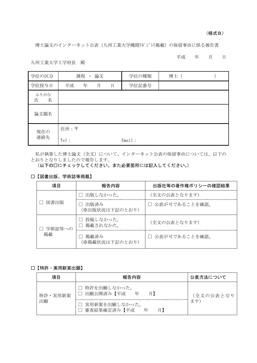(様式B)

博士論文のインターネット公表(九州工業大学機関リポジトリ掲載)の保留事由に係る報告書

平成 年 月 日

九州工業大学工学府長 殿

| 学位の区分          |      | 課程 · | 論文 |   | 学位の種類  | 博士<br>$\sqrt{2}$ |  |
|----------------|------|------|----|---|--------|------------------|--|
| 学位授与日          | 平成   | 年    | 月  | 日 | 学位記番号  |                  |  |
| ふりがな<br>名<br>氏 |      |      |    |   |        |                  |  |
| 論文題名           |      |      |    |   |        |                  |  |
| 現在の            | 住所:〒 |      |    |   |        |                  |  |
| 連絡先            | Tel: |      |    |   | Email: |                  |  |

私が執筆した博士論文(全文)について、インターネット公表の保留事由については、以下の とおりとなりしましたので報告します。

(以下の□にチェックしてください。また必要箇所には記入してください。)

### □【図書出版、学術誌等掲載】

| 項目     | 報告内容                     | 出版社等の著作権ポリシーの確認結果 |  |
|--------|--------------------------|-------------------|--|
|        | □ 出版しなかった。               | (全文の公表となります)      |  |
| 図書出版   | 出版済み<br>(※出版状況は下記のとおり)   | □ 公表が可であることを確認。   |  |
| 学術誌等への | □ 投稿しなかった。<br>□ 掲載されなかた。 | (全文の公表となります)      |  |
| 掲載     | 掲載済み<br>(※掲載状況は下記のとおり)   | □ 公表が可であることを確認。   |  |

### □【特許・実用新案出願】

| 項目            | 報告内容                                                                            | 公表方法について        |
|---------------|---------------------------------------------------------------------------------|-----------------|
| 特許・実用新案<br>出願 | 特許を出願しなかった。<br>□ 出願公開済み【平成 年<br>月】<br>□ 実用新案を出願しなかった。<br>審査結果確定済み【平成<br>年<br>月】 | (全文の公表となり<br>ます |